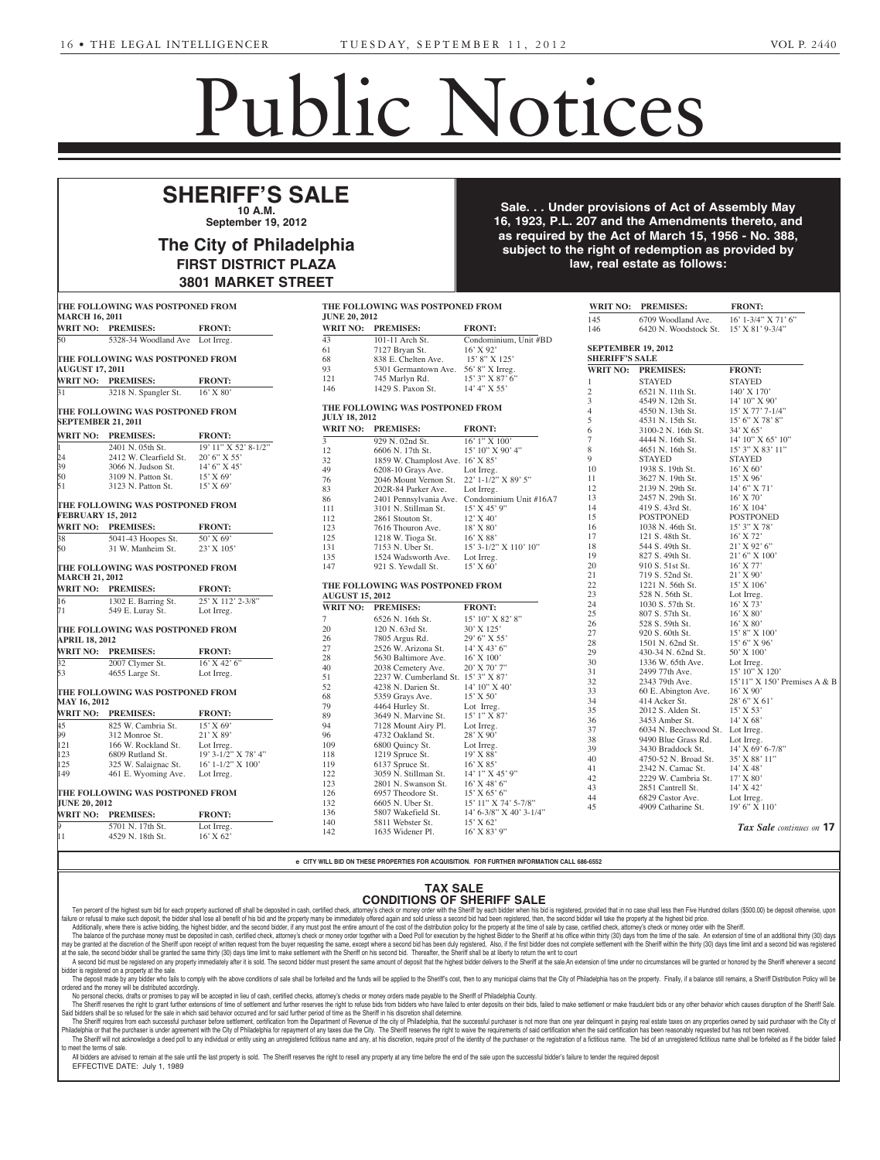Suite 5000, Philadelphia, PA

**Hall**, to hear testimony on the fol-

# Public Notices

## **SHERIFF'S SALE 10 A.M.** Estate Notices **NOTICE TO COUNSEL known as PATRICK NEWSTEP**

**September 19, 2012**  $10$  A.M. ptember 19, 2012

### **The City of Philadelphia** FIRST DISTRICT PLAZA **3801 MARKET STREET**  $\overline{a}$  June 30, 1972 (Act No. 164) of grant of letters to contain personal representatives. Township Line Road, Suite 150, v of Philadelnhia y or Frinau<del>c</del>ipina **DISTRICT FLAZA** 8-23-3

Sale. . . Under provisions of Act of Assembly May **16, 1923, P.L. 207 and the Amendments thereto, and as required by the Act of March 15, 1956 - No. 388,**<br>as required by the Act of March 15, 1956 - No. 388, **hearth is updect to the right of redemption as provided by 10:00 AM, real estate as follows: 10:00 AM, in Room 400, in Room 400, in Room 400, in Room 400, in Room 400, in Room 400, in Room 400, in Room 400, in Room 400, in Room 400, in Room 400, in Room 400, in Room 400, in Roo City of Philadelphia Public Hearing Notice Tuesday, September 18, 2012**, at **10:00 AM**, in **Room 400**, **City Hall**, to hear testimony on the foluired by the Act of Marc**r less** of the Council of the City of The Committee on Committee on Rules<br>**Committee of the Committee of the Committee of the Committee of the Committee of the Committee of the Committee** 5, 1956 - NO. 388, Philadel  $\rho$  as provided by **Tuesday, September 18, 2012,** at

City Council

| <b>MARCH 16, 2011</b><br><b>WRIT NO: PREMISES:</b><br>5328-34 Woodland Ave Lot Irreg. | <b>FRONT:</b>                                                                                                                                                                                                                                                                                                                                                                                            | <b>JUNE 20, 2012</b><br>WRIT NO: PREMISES:                                                                                                                                                                                                                                                                                                                                           |                                                                                                                                                                           |                                                                                                                                                                                                                                                                                                                                                                                                                                                                                                                                                                           | 145                                                                                                                                                                                                                                                                                                                                                                                                                                                                                                                                                                                                                                                                                                   | 6709 Woodland Ave.                                                                                                                                                                                                                                                                                                                       | 16' 1-3/4" X 71' 6"                                                                                                                                                                                                                                                                                                                                                                                                                                                                                                                                                                                                                                               |
|---------------------------------------------------------------------------------------|----------------------------------------------------------------------------------------------------------------------------------------------------------------------------------------------------------------------------------------------------------------------------------------------------------------------------------------------------------------------------------------------------------|--------------------------------------------------------------------------------------------------------------------------------------------------------------------------------------------------------------------------------------------------------------------------------------------------------------------------------------------------------------------------------------|---------------------------------------------------------------------------------------------------------------------------------------------------------------------------|---------------------------------------------------------------------------------------------------------------------------------------------------------------------------------------------------------------------------------------------------------------------------------------------------------------------------------------------------------------------------------------------------------------------------------------------------------------------------------------------------------------------------------------------------------------------------|-------------------------------------------------------------------------------------------------------------------------------------------------------------------------------------------------------------------------------------------------------------------------------------------------------------------------------------------------------------------------------------------------------------------------------------------------------------------------------------------------------------------------------------------------------------------------------------------------------------------------------------------------------------------------------------------------------|------------------------------------------------------------------------------------------------------------------------------------------------------------------------------------------------------------------------------------------------------------------------------------------------------------------------------------------|-------------------------------------------------------------------------------------------------------------------------------------------------------------------------------------------------------------------------------------------------------------------------------------------------------------------------------------------------------------------------------------------------------------------------------------------------------------------------------------------------------------------------------------------------------------------------------------------------------------------------------------------------------------------|
|                                                                                       |                                                                                                                                                                                                                                                                                                                                                                                                          |                                                                                                                                                                                                                                                                                                                                                                                      |                                                                                                                                                                           | <b>FRONT:</b>                                                                                                                                                                                                                                                                                                                                                                                                                                                                                                                                                             | 146                                                                                                                                                                                                                                                                                                                                                                                                                                                                                                                                                                                                                                                                                                   | 6420 N. Woodstock St.                                                                                                                                                                                                                                                                                                                    | $15'$ X 81' 9-3/4"                                                                                                                                                                                                                                                                                                                                                                                                                                                                                                                                                                                                                                                |
|                                                                                       |                                                                                                                                                                                                                                                                                                                                                                                                          | 43                                                                                                                                                                                                                                                                                                                                                                                   | 101-11 Arch St.                                                                                                                                                           | Condominium, Unit #BD                                                                                                                                                                                                                                                                                                                                                                                                                                                                                                                                                     |                                                                                                                                                                                                                                                                                                                                                                                                                                                                                                                                                                                                                                                                                                       |                                                                                                                                                                                                                                                                                                                                          |                                                                                                                                                                                                                                                                                                                                                                                                                                                                                                                                                                                                                                                                   |
|                                                                                       |                                                                                                                                                                                                                                                                                                                                                                                                          | 61                                                                                                                                                                                                                                                                                                                                                                                   | 7127 Bryan St.                                                                                                                                                            | $16'$ X 92'                                                                                                                                                                                                                                                                                                                                                                                                                                                                                                                                                               | <b>SEPTEMBER 19, 2012</b>                                                                                                                                                                                                                                                                                                                                                                                                                                                                                                                                                                                                                                                                             |                                                                                                                                                                                                                                                                                                                                          |                                                                                                                                                                                                                                                                                                                                                                                                                                                                                                                                                                                                                                                                   |
|                                                                                       | THE FOLLOWING WAS POSTPONED FROM                                                                                                                                                                                                                                                                                                                                                                         |                                                                                                                                                                                                                                                                                                                                                                                      |                                                                                                                                                                           | 68<br>15' 8" X 125'<br>838 E. Chelten Ave.                                                                                                                                                                                                                                                                                                                                                                                                                                                                                                                                |                                                                                                                                                                                                                                                                                                                                                                                                                                                                                                                                                                                                                                                                                                       |                                                                                                                                                                                                                                                                                                                                          |                                                                                                                                                                                                                                                                                                                                                                                                                                                                                                                                                                                                                                                                   |
| <b>AUGUST 17, 2011</b>                                                                |                                                                                                                                                                                                                                                                                                                                                                                                          | 93                                                                                                                                                                                                                                                                                                                                                                                   | 5301 Germantown Ave. 56' 8" X Irreg.                                                                                                                                      |                                                                                                                                                                                                                                                                                                                                                                                                                                                                                                                                                                           | <b>SHERIFF'S SALE</b>                                                                                                                                                                                                                                                                                                                                                                                                                                                                                                                                                                                                                                                                                 | WRIT NO: PREMISES:                                                                                                                                                                                                                                                                                                                       | <b>FRONT:</b>                                                                                                                                                                                                                                                                                                                                                                                                                                                                                                                                                                                                                                                     |
| WRIT NO: PREMISES:                                                                    | <b>FRONT:</b>                                                                                                                                                                                                                                                                                                                                                                                            | 121                                                                                                                                                                                                                                                                                                                                                                                  | 745 Marlyn Rd.                                                                                                                                                            | $15'3''$ X 87' 6"                                                                                                                                                                                                                                                                                                                                                                                                                                                                                                                                                         |                                                                                                                                                                                                                                                                                                                                                                                                                                                                                                                                                                                                                                                                                                       | <b>STAYED</b>                                                                                                                                                                                                                                                                                                                            | <b>STAYED</b>                                                                                                                                                                                                                                                                                                                                                                                                                                                                                                                                                                                                                                                     |
|                                                                                       |                                                                                                                                                                                                                                                                                                                                                                                                          | 146                                                                                                                                                                                                                                                                                                                                                                                  | 1429 S. Paxon St.                                                                                                                                                         | 14' 4" X 55'                                                                                                                                                                                                                                                                                                                                                                                                                                                                                                                                                              |                                                                                                                                                                                                                                                                                                                                                                                                                                                                                                                                                                                                                                                                                                       |                                                                                                                                                                                                                                                                                                                                          | 140' X 170'                                                                                                                                                                                                                                                                                                                                                                                                                                                                                                                                                                                                                                                       |
|                                                                                       |                                                                                                                                                                                                                                                                                                                                                                                                          |                                                                                                                                                                                                                                                                                                                                                                                      |                                                                                                                                                                           |                                                                                                                                                                                                                                                                                                                                                                                                                                                                                                                                                                           |                                                                                                                                                                                                                                                                                                                                                                                                                                                                                                                                                                                                                                                                                                       |                                                                                                                                                                                                                                                                                                                                          | 14' 10" X 90'                                                                                                                                                                                                                                                                                                                                                                                                                                                                                                                                                                                                                                                     |
|                                                                                       |                                                                                                                                                                                                                                                                                                                                                                                                          |                                                                                                                                                                                                                                                                                                                                                                                      |                                                                                                                                                                           |                                                                                                                                                                                                                                                                                                                                                                                                                                                                                                                                                                           |                                                                                                                                                                                                                                                                                                                                                                                                                                                                                                                                                                                                                                                                                                       |                                                                                                                                                                                                                                                                                                                                          | 15' X 77' 7-1/4"                                                                                                                                                                                                                                                                                                                                                                                                                                                                                                                                                                                                                                                  |
| THE FOLLOWING WAS POSTPONED FROM<br><b>SEPTEMBER 21, 2011</b>                         |                                                                                                                                                                                                                                                                                                                                                                                                          |                                                                                                                                                                                                                                                                                                                                                                                      | <b>JULY 18, 2012</b>                                                                                                                                                      |                                                                                                                                                                                                                                                                                                                                                                                                                                                                                                                                                                           |                                                                                                                                                                                                                                                                                                                                                                                                                                                                                                                                                                                                                                                                                                       |                                                                                                                                                                                                                                                                                                                                          | 15' 6" X 78' 8"                                                                                                                                                                                                                                                                                                                                                                                                                                                                                                                                                                                                                                                   |
|                                                                                       |                                                                                                                                                                                                                                                                                                                                                                                                          |                                                                                                                                                                                                                                                                                                                                                                                      |                                                                                                                                                                           |                                                                                                                                                                                                                                                                                                                                                                                                                                                                                                                                                                           |                                                                                                                                                                                                                                                                                                                                                                                                                                                                                                                                                                                                                                                                                                       |                                                                                                                                                                                                                                                                                                                                          | 34' X 65'                                                                                                                                                                                                                                                                                                                                                                                                                                                                                                                                                                                                                                                         |
| WRIT NO: PREMISES:                                                                    | <b>FRONT:</b>                                                                                                                                                                                                                                                                                                                                                                                            |                                                                                                                                                                                                                                                                                                                                                                                      |                                                                                                                                                                           |                                                                                                                                                                                                                                                                                                                                                                                                                                                                                                                                                                           |                                                                                                                                                                                                                                                                                                                                                                                                                                                                                                                                                                                                                                                                                                       |                                                                                                                                                                                                                                                                                                                                          | 14' 10" X 65' 10"                                                                                                                                                                                                                                                                                                                                                                                                                                                                                                                                                                                                                                                 |
|                                                                                       |                                                                                                                                                                                                                                                                                                                                                                                                          |                                                                                                                                                                                                                                                                                                                                                                                      |                                                                                                                                                                           |                                                                                                                                                                                                                                                                                                                                                                                                                                                                                                                                                                           |                                                                                                                                                                                                                                                                                                                                                                                                                                                                                                                                                                                                                                                                                                       |                                                                                                                                                                                                                                                                                                                                          | 15' 3" X 83' 11"                                                                                                                                                                                                                                                                                                                                                                                                                                                                                                                                                                                                                                                  |
|                                                                                       |                                                                                                                                                                                                                                                                                                                                                                                                          |                                                                                                                                                                                                                                                                                                                                                                                      |                                                                                                                                                                           |                                                                                                                                                                                                                                                                                                                                                                                                                                                                                                                                                                           |                                                                                                                                                                                                                                                                                                                                                                                                                                                                                                                                                                                                                                                                                                       |                                                                                                                                                                                                                                                                                                                                          |                                                                                                                                                                                                                                                                                                                                                                                                                                                                                                                                                                                                                                                                   |
|                                                                                       |                                                                                                                                                                                                                                                                                                                                                                                                          |                                                                                                                                                                                                                                                                                                                                                                                      |                                                                                                                                                                           |                                                                                                                                                                                                                                                                                                                                                                                                                                                                                                                                                                           |                                                                                                                                                                                                                                                                                                                                                                                                                                                                                                                                                                                                                                                                                                       |                                                                                                                                                                                                                                                                                                                                          | <b>STAYED</b>                                                                                                                                                                                                                                                                                                                                                                                                                                                                                                                                                                                                                                                     |
|                                                                                       |                                                                                                                                                                                                                                                                                                                                                                                                          |                                                                                                                                                                                                                                                                                                                                                                                      |                                                                                                                                                                           |                                                                                                                                                                                                                                                                                                                                                                                                                                                                                                                                                                           |                                                                                                                                                                                                                                                                                                                                                                                                                                                                                                                                                                                                                                                                                                       |                                                                                                                                                                                                                                                                                                                                          | $16'$ X 60'                                                                                                                                                                                                                                                                                                                                                                                                                                                                                                                                                                                                                                                       |
|                                                                                       |                                                                                                                                                                                                                                                                                                                                                                                                          |                                                                                                                                                                                                                                                                                                                                                                                      |                                                                                                                                                                           |                                                                                                                                                                                                                                                                                                                                                                                                                                                                                                                                                                           |                                                                                                                                                                                                                                                                                                                                                                                                                                                                                                                                                                                                                                                                                                       |                                                                                                                                                                                                                                                                                                                                          | $15'$ X 96'                                                                                                                                                                                                                                                                                                                                                                                                                                                                                                                                                                                                                                                       |
|                                                                                       |                                                                                                                                                                                                                                                                                                                                                                                                          |                                                                                                                                                                                                                                                                                                                                                                                      |                                                                                                                                                                           |                                                                                                                                                                                                                                                                                                                                                                                                                                                                                                                                                                           |                                                                                                                                                                                                                                                                                                                                                                                                                                                                                                                                                                                                                                                                                                       |                                                                                                                                                                                                                                                                                                                                          | 14' 6" X 71'                                                                                                                                                                                                                                                                                                                                                                                                                                                                                                                                                                                                                                                      |
|                                                                                       |                                                                                                                                                                                                                                                                                                                                                                                                          |                                                                                                                                                                                                                                                                                                                                                                                      |                                                                                                                                                                           |                                                                                                                                                                                                                                                                                                                                                                                                                                                                                                                                                                           |                                                                                                                                                                                                                                                                                                                                                                                                                                                                                                                                                                                                                                                                                                       |                                                                                                                                                                                                                                                                                                                                          | $16'$ X 70'                                                                                                                                                                                                                                                                                                                                                                                                                                                                                                                                                                                                                                                       |
|                                                                                       |                                                                                                                                                                                                                                                                                                                                                                                                          | 111                                                                                                                                                                                                                                                                                                                                                                                  |                                                                                                                                                                           | $15'$ X 45' 9"                                                                                                                                                                                                                                                                                                                                                                                                                                                                                                                                                            |                                                                                                                                                                                                                                                                                                                                                                                                                                                                                                                                                                                                                                                                                                       |                                                                                                                                                                                                                                                                                                                                          | 16' X 104'                                                                                                                                                                                                                                                                                                                                                                                                                                                                                                                                                                                                                                                        |
|                                                                                       |                                                                                                                                                                                                                                                                                                                                                                                                          |                                                                                                                                                                                                                                                                                                                                                                                      |                                                                                                                                                                           | $12'$ X 40'                                                                                                                                                                                                                                                                                                                                                                                                                                                                                                                                                               |                                                                                                                                                                                                                                                                                                                                                                                                                                                                                                                                                                                                                                                                                                       |                                                                                                                                                                                                                                                                                                                                          | <b>POSTPONED</b>                                                                                                                                                                                                                                                                                                                                                                                                                                                                                                                                                                                                                                                  |
|                                                                                       |                                                                                                                                                                                                                                                                                                                                                                                                          |                                                                                                                                                                                                                                                                                                                                                                                      |                                                                                                                                                                           | $18'$ X $80'$                                                                                                                                                                                                                                                                                                                                                                                                                                                                                                                                                             |                                                                                                                                                                                                                                                                                                                                                                                                                                                                                                                                                                                                                                                                                                       |                                                                                                                                                                                                                                                                                                                                          | 15' 3" X 78'                                                                                                                                                                                                                                                                                                                                                                                                                                                                                                                                                                                                                                                      |
| 5041-43 Hoopes St.                                                                    | 50' X 69'                                                                                                                                                                                                                                                                                                                                                                                                |                                                                                                                                                                                                                                                                                                                                                                                      |                                                                                                                                                                           | $16'$ X 88'                                                                                                                                                                                                                                                                                                                                                                                                                                                                                                                                                               |                                                                                                                                                                                                                                                                                                                                                                                                                                                                                                                                                                                                                                                                                                       | 121 S. 48th St.                                                                                                                                                                                                                                                                                                                          | 16' X 72'                                                                                                                                                                                                                                                                                                                                                                                                                                                                                                                                                                                                                                                         |
| 31 W. Manheim St.                                                                     | 23' X 105'                                                                                                                                                                                                                                                                                                                                                                                               | 131                                                                                                                                                                                                                                                                                                                                                                                  | 7153 N. Uber St.                                                                                                                                                          | 15' 3-1/2" X 110' 10"                                                                                                                                                                                                                                                                                                                                                                                                                                                                                                                                                     | 18                                                                                                                                                                                                                                                                                                                                                                                                                                                                                                                                                                                                                                                                                                    | 544 S. 49th St.                                                                                                                                                                                                                                                                                                                          | 21' X 92' 6"                                                                                                                                                                                                                                                                                                                                                                                                                                                                                                                                                                                                                                                      |
|                                                                                       |                                                                                                                                                                                                                                                                                                                                                                                                          | 135                                                                                                                                                                                                                                                                                                                                                                                  |                                                                                                                                                                           | Lot Irreg.                                                                                                                                                                                                                                                                                                                                                                                                                                                                                                                                                                |                                                                                                                                                                                                                                                                                                                                                                                                                                                                                                                                                                                                                                                                                                       | 827 S. 49th St.                                                                                                                                                                                                                                                                                                                          | 21' 6" X 100'                                                                                                                                                                                                                                                                                                                                                                                                                                                                                                                                                                                                                                                     |
|                                                                                       |                                                                                                                                                                                                                                                                                                                                                                                                          | 147                                                                                                                                                                                                                                                                                                                                                                                  | 921 S. Yewdall St.                                                                                                                                                        | $15'$ X 60'                                                                                                                                                                                                                                                                                                                                                                                                                                                                                                                                                               |                                                                                                                                                                                                                                                                                                                                                                                                                                                                                                                                                                                                                                                                                                       | 910 S. 51st St.                                                                                                                                                                                                                                                                                                                          | $16'$ X 77'                                                                                                                                                                                                                                                                                                                                                                                                                                                                                                                                                                                                                                                       |
| <b>MARCH 21, 2012</b>                                                                 |                                                                                                                                                                                                                                                                                                                                                                                                          |                                                                                                                                                                                                                                                                                                                                                                                      |                                                                                                                                                                           |                                                                                                                                                                                                                                                                                                                                                                                                                                                                                                                                                                           | 21                                                                                                                                                                                                                                                                                                                                                                                                                                                                                                                                                                                                                                                                                                    | 719 S. 52nd St.                                                                                                                                                                                                                                                                                                                          | $21'$ X 90'                                                                                                                                                                                                                                                                                                                                                                                                                                                                                                                                                                                                                                                       |
|                                                                                       |                                                                                                                                                                                                                                                                                                                                                                                                          |                                                                                                                                                                                                                                                                                                                                                                                      |                                                                                                                                                                           |                                                                                                                                                                                                                                                                                                                                                                                                                                                                                                                                                                           | $22\,$                                                                                                                                                                                                                                                                                                                                                                                                                                                                                                                                                                                                                                                                                                | 1221 N. 56th St.                                                                                                                                                                                                                                                                                                                         | $15'$ X $106'$                                                                                                                                                                                                                                                                                                                                                                                                                                                                                                                                                                                                                                                    |
|                                                                                       |                                                                                                                                                                                                                                                                                                                                                                                                          |                                                                                                                                                                                                                                                                                                                                                                                      |                                                                                                                                                                           |                                                                                                                                                                                                                                                                                                                                                                                                                                                                                                                                                                           | $23\,$                                                                                                                                                                                                                                                                                                                                                                                                                                                                                                                                                                                                                                                                                                | 528 N. 56th St.                                                                                                                                                                                                                                                                                                                          | Lot Irreg.                                                                                                                                                                                                                                                                                                                                                                                                                                                                                                                                                                                                                                                        |
|                                                                                       |                                                                                                                                                                                                                                                                                                                                                                                                          |                                                                                                                                                                                                                                                                                                                                                                                      |                                                                                                                                                                           |                                                                                                                                                                                                                                                                                                                                                                                                                                                                                                                                                                           | 24                                                                                                                                                                                                                                                                                                                                                                                                                                                                                                                                                                                                                                                                                                    | 1030 S. 57th St.                                                                                                                                                                                                                                                                                                                         | 16' X 73'                                                                                                                                                                                                                                                                                                                                                                                                                                                                                                                                                                                                                                                         |
|                                                                                       |                                                                                                                                                                                                                                                                                                                                                                                                          |                                                                                                                                                                                                                                                                                                                                                                                      |                                                                                                                                                                           |                                                                                                                                                                                                                                                                                                                                                                                                                                                                                                                                                                           | 25                                                                                                                                                                                                                                                                                                                                                                                                                                                                                                                                                                                                                                                                                                    | 807 S. 57th St.                                                                                                                                                                                                                                                                                                                          | $16'$ X $80'$                                                                                                                                                                                                                                                                                                                                                                                                                                                                                                                                                                                                                                                     |
|                                                                                       |                                                                                                                                                                                                                                                                                                                                                                                                          |                                                                                                                                                                                                                                                                                                                                                                                      |                                                                                                                                                                           |                                                                                                                                                                                                                                                                                                                                                                                                                                                                                                                                                                           | 26                                                                                                                                                                                                                                                                                                                                                                                                                                                                                                                                                                                                                                                                                                    | 528 S. 59th St.                                                                                                                                                                                                                                                                                                                          | $16'$ X $80'$                                                                                                                                                                                                                                                                                                                                                                                                                                                                                                                                                                                                                                                     |
| THE FOLLOWING WAS POSTPONED FROM                                                      |                                                                                                                                                                                                                                                                                                                                                                                                          |                                                                                                                                                                                                                                                                                                                                                                                      |                                                                                                                                                                           |                                                                                                                                                                                                                                                                                                                                                                                                                                                                                                                                                                           | 27                                                                                                                                                                                                                                                                                                                                                                                                                                                                                                                                                                                                                                                                                                    | 920 S. 60th St.                                                                                                                                                                                                                                                                                                                          | 15' 8" X 100'                                                                                                                                                                                                                                                                                                                                                                                                                                                                                                                                                                                                                                                     |
| <b>APRIL 18, 2012</b>                                                                 |                                                                                                                                                                                                                                                                                                                                                                                                          |                                                                                                                                                                                                                                                                                                                                                                                      |                                                                                                                                                                           |                                                                                                                                                                                                                                                                                                                                                                                                                                                                                                                                                                           |                                                                                                                                                                                                                                                                                                                                                                                                                                                                                                                                                                                                                                                                                                       | 1501 N. 62nd St.                                                                                                                                                                                                                                                                                                                         | 15' 6" X 96'                                                                                                                                                                                                                                                                                                                                                                                                                                                                                                                                                                                                                                                      |
| <b>WRIT NO: PREMISES:</b>                                                             | <b>FRONT:</b>                                                                                                                                                                                                                                                                                                                                                                                            |                                                                                                                                                                                                                                                                                                                                                                                      |                                                                                                                                                                           |                                                                                                                                                                                                                                                                                                                                                                                                                                                                                                                                                                           | 29                                                                                                                                                                                                                                                                                                                                                                                                                                                                                                                                                                                                                                                                                                    | 430-34 N. 62nd St.                                                                                                                                                                                                                                                                                                                       | 50' X 100'                                                                                                                                                                                                                                                                                                                                                                                                                                                                                                                                                                                                                                                        |
|                                                                                       |                                                                                                                                                                                                                                                                                                                                                                                                          |                                                                                                                                                                                                                                                                                                                                                                                      |                                                                                                                                                                           |                                                                                                                                                                                                                                                                                                                                                                                                                                                                                                                                                                           |                                                                                                                                                                                                                                                                                                                                                                                                                                                                                                                                                                                                                                                                                                       |                                                                                                                                                                                                                                                                                                                                          | Lot Irreg.                                                                                                                                                                                                                                                                                                                                                                                                                                                                                                                                                                                                                                                        |
|                                                                                       |                                                                                                                                                                                                                                                                                                                                                                                                          |                                                                                                                                                                                                                                                                                                                                                                                      |                                                                                                                                                                           |                                                                                                                                                                                                                                                                                                                                                                                                                                                                                                                                                                           |                                                                                                                                                                                                                                                                                                                                                                                                                                                                                                                                                                                                                                                                                                       |                                                                                                                                                                                                                                                                                                                                          | 15' 10" X 120'                                                                                                                                                                                                                                                                                                                                                                                                                                                                                                                                                                                                                                                    |
|                                                                                       |                                                                                                                                                                                                                                                                                                                                                                                                          |                                                                                                                                                                                                                                                                                                                                                                                      |                                                                                                                                                                           |                                                                                                                                                                                                                                                                                                                                                                                                                                                                                                                                                                           |                                                                                                                                                                                                                                                                                                                                                                                                                                                                                                                                                                                                                                                                                                       |                                                                                                                                                                                                                                                                                                                                          | 15'11" X 150' Premises A & B                                                                                                                                                                                                                                                                                                                                                                                                                                                                                                                                                                                                                                      |
|                                                                                       |                                                                                                                                                                                                                                                                                                                                                                                                          |                                                                                                                                                                                                                                                                                                                                                                                      | 4238 N. Darien St.                                                                                                                                                        |                                                                                                                                                                                                                                                                                                                                                                                                                                                                                                                                                                           |                                                                                                                                                                                                                                                                                                                                                                                                                                                                                                                                                                                                                                                                                                       |                                                                                                                                                                                                                                                                                                                                          | $16'$ X 90'                                                                                                                                                                                                                                                                                                                                                                                                                                                                                                                                                                                                                                                       |
|                                                                                       |                                                                                                                                                                                                                                                                                                                                                                                                          |                                                                                                                                                                                                                                                                                                                                                                                      | 5359 Grays Ave.                                                                                                                                                           |                                                                                                                                                                                                                                                                                                                                                                                                                                                                                                                                                                           |                                                                                                                                                                                                                                                                                                                                                                                                                                                                                                                                                                                                                                                                                                       |                                                                                                                                                                                                                                                                                                                                          | 28' 6" X 61'                                                                                                                                                                                                                                                                                                                                                                                                                                                                                                                                                                                                                                                      |
|                                                                                       |                                                                                                                                                                                                                                                                                                                                                                                                          | 79                                                                                                                                                                                                                                                                                                                                                                                   | 4464 Hurley St.                                                                                                                                                           | Lot Irreg.                                                                                                                                                                                                                                                                                                                                                                                                                                                                                                                                                                |                                                                                                                                                                                                                                                                                                                                                                                                                                                                                                                                                                                                                                                                                                       |                                                                                                                                                                                                                                                                                                                                          | $15'$ X 53'                                                                                                                                                                                                                                                                                                                                                                                                                                                                                                                                                                                                                                                       |
|                                                                                       |                                                                                                                                                                                                                                                                                                                                                                                                          | 89                                                                                                                                                                                                                                                                                                                                                                                   | 3649 N. Marvine St.                                                                                                                                                       | $15'1''$ X 87'                                                                                                                                                                                                                                                                                                                                                                                                                                                                                                                                                            |                                                                                                                                                                                                                                                                                                                                                                                                                                                                                                                                                                                                                                                                                                       |                                                                                                                                                                                                                                                                                                                                          | $14'$ X 68'                                                                                                                                                                                                                                                                                                                                                                                                                                                                                                                                                                                                                                                       |
| 825 W. Cambria St.                                                                    | 15' X 69'                                                                                                                                                                                                                                                                                                                                                                                                | 94                                                                                                                                                                                                                                                                                                                                                                                   | 7128 Mount Airy Pl.                                                                                                                                                       | Lot Irreg.                                                                                                                                                                                                                                                                                                                                                                                                                                                                                                                                                                |                                                                                                                                                                                                                                                                                                                                                                                                                                                                                                                                                                                                                                                                                                       |                                                                                                                                                                                                                                                                                                                                          |                                                                                                                                                                                                                                                                                                                                                                                                                                                                                                                                                                                                                                                                   |
| 312 Monroe St.                                                                        | 21' X 89'                                                                                                                                                                                                                                                                                                                                                                                                | 96                                                                                                                                                                                                                                                                                                                                                                                   | 4732 Oakland St.                                                                                                                                                          | 28' X 90'                                                                                                                                                                                                                                                                                                                                                                                                                                                                                                                                                                 |                                                                                                                                                                                                                                                                                                                                                                                                                                                                                                                                                                                                                                                                                                       |                                                                                                                                                                                                                                                                                                                                          |                                                                                                                                                                                                                                                                                                                                                                                                                                                                                                                                                                                                                                                                   |
| 166 W. Rockland St.                                                                   | Lot Irreg.                                                                                                                                                                                                                                                                                                                                                                                               | 109                                                                                                                                                                                                                                                                                                                                                                                  | 6800 Quincy St.                                                                                                                                                           | Lot Irreg.                                                                                                                                                                                                                                                                                                                                                                                                                                                                                                                                                                |                                                                                                                                                                                                                                                                                                                                                                                                                                                                                                                                                                                                                                                                                                       |                                                                                                                                                                                                                                                                                                                                          | Lot Irreg.<br>14' X 69' 6-7/8"                                                                                                                                                                                                                                                                                                                                                                                                                                                                                                                                                                                                                                    |
| 6809 Rutland St.                                                                      | $19'3-1/2''$ X 78' 4"                                                                                                                                                                                                                                                                                                                                                                                    | 118                                                                                                                                                                                                                                                                                                                                                                                  |                                                                                                                                                                           | 19' X 88'                                                                                                                                                                                                                                                                                                                                                                                                                                                                                                                                                                 |                                                                                                                                                                                                                                                                                                                                                                                                                                                                                                                                                                                                                                                                                                       |                                                                                                                                                                                                                                                                                                                                          |                                                                                                                                                                                                                                                                                                                                                                                                                                                                                                                                                                                                                                                                   |
| 325 W. Salaignac St.                                                                  | 16' 1-1/2" X 100'                                                                                                                                                                                                                                                                                                                                                                                        | 119                                                                                                                                                                                                                                                                                                                                                                                  | 6137 Spruce St.                                                                                                                                                           | $16'$ X 85'                                                                                                                                                                                                                                                                                                                                                                                                                                                                                                                                                               |                                                                                                                                                                                                                                                                                                                                                                                                                                                                                                                                                                                                                                                                                                       |                                                                                                                                                                                                                                                                                                                                          | 35' X 88' 11"                                                                                                                                                                                                                                                                                                                                                                                                                                                                                                                                                                                                                                                     |
|                                                                                       |                                                                                                                                                                                                                                                                                                                                                                                                          |                                                                                                                                                                                                                                                                                                                                                                                      |                                                                                                                                                                           |                                                                                                                                                                                                                                                                                                                                                                                                                                                                                                                                                                           |                                                                                                                                                                                                                                                                                                                                                                                                                                                                                                                                                                                                                                                                                                       |                                                                                                                                                                                                                                                                                                                                          | $14'$ X 48'                                                                                                                                                                                                                                                                                                                                                                                                                                                                                                                                                                                                                                                       |
|                                                                                       |                                                                                                                                                                                                                                                                                                                                                                                                          |                                                                                                                                                                                                                                                                                                                                                                                      |                                                                                                                                                                           |                                                                                                                                                                                                                                                                                                                                                                                                                                                                                                                                                                           |                                                                                                                                                                                                                                                                                                                                                                                                                                                                                                                                                                                                                                                                                                       |                                                                                                                                                                                                                                                                                                                                          | $17'$ X 80'                                                                                                                                                                                                                                                                                                                                                                                                                                                                                                                                                                                                                                                       |
| THE FOLLOWING WAS POSTPONED FROM<br><b>JUNE 20, 2012</b>                              |                                                                                                                                                                                                                                                                                                                                                                                                          |                                                                                                                                                                                                                                                                                                                                                                                      |                                                                                                                                                                           |                                                                                                                                                                                                                                                                                                                                                                                                                                                                                                                                                                           |                                                                                                                                                                                                                                                                                                                                                                                                                                                                                                                                                                                                                                                                                                       |                                                                                                                                                                                                                                                                                                                                          | 14' X 42'                                                                                                                                                                                                                                                                                                                                                                                                                                                                                                                                                                                                                                                         |
|                                                                                       |                                                                                                                                                                                                                                                                                                                                                                                                          |                                                                                                                                                                                                                                                                                                                                                                                      |                                                                                                                                                                           |                                                                                                                                                                                                                                                                                                                                                                                                                                                                                                                                                                           |                                                                                                                                                                                                                                                                                                                                                                                                                                                                                                                                                                                                                                                                                                       |                                                                                                                                                                                                                                                                                                                                          | Lot Irreg.                                                                                                                                                                                                                                                                                                                                                                                                                                                                                                                                                                                                                                                        |
|                                                                                       |                                                                                                                                                                                                                                                                                                                                                                                                          |                                                                                                                                                                                                                                                                                                                                                                                      |                                                                                                                                                                           |                                                                                                                                                                                                                                                                                                                                                                                                                                                                                                                                                                           |                                                                                                                                                                                                                                                                                                                                                                                                                                                                                                                                                                                                                                                                                                       |                                                                                                                                                                                                                                                                                                                                          | 19' 6" X 110'                                                                                                                                                                                                                                                                                                                                                                                                                                                                                                                                                                                                                                                     |
|                                                                                       |                                                                                                                                                                                                                                                                                                                                                                                                          |                                                                                                                                                                                                                                                                                                                                                                                      |                                                                                                                                                                           |                                                                                                                                                                                                                                                                                                                                                                                                                                                                                                                                                                           |                                                                                                                                                                                                                                                                                                                                                                                                                                                                                                                                                                                                                                                                                                       |                                                                                                                                                                                                                                                                                                                                          |                                                                                                                                                                                                                                                                                                                                                                                                                                                                                                                                                                                                                                                                   |
|                                                                                       | Lot Irreg.                                                                                                                                                                                                                                                                                                                                                                                               |                                                                                                                                                                                                                                                                                                                                                                                      |                                                                                                                                                                           |                                                                                                                                                                                                                                                                                                                                                                                                                                                                                                                                                                           |                                                                                                                                                                                                                                                                                                                                                                                                                                                                                                                                                                                                                                                                                                       |                                                                                                                                                                                                                                                                                                                                          | Tax Sale continues on 17                                                                                                                                                                                                                                                                                                                                                                                                                                                                                                                                                                                                                                          |
| 4529 N. 18th St.                                                                      | $16'$ X 62'                                                                                                                                                                                                                                                                                                                                                                                              |                                                                                                                                                                                                                                                                                                                                                                                      |                                                                                                                                                                           |                                                                                                                                                                                                                                                                                                                                                                                                                                                                                                                                                                           |                                                                                                                                                                                                                                                                                                                                                                                                                                                                                                                                                                                                                                                                                                       |                                                                                                                                                                                                                                                                                                                                          |                                                                                                                                                                                                                                                                                                                                                                                                                                                                                                                                                                                                                                                                   |
|                                                                                       |                                                                                                                                                                                                                                                                                                                                                                                                          |                                                                                                                                                                                                                                                                                                                                                                                      |                                                                                                                                                                           |                                                                                                                                                                                                                                                                                                                                                                                                                                                                                                                                                                           |                                                                                                                                                                                                                                                                                                                                                                                                                                                                                                                                                                                                                                                                                                       |                                                                                                                                                                                                                                                                                                                                          |                                                                                                                                                                                                                                                                                                                                                                                                                                                                                                                                                                                                                                                                   |
|                                                                                       |                                                                                                                                                                                                                                                                                                                                                                                                          |                                                                                                                                                                                                                                                                                                                                                                                      |                                                                                                                                                                           |                                                                                                                                                                                                                                                                                                                                                                                                                                                                                                                                                                           |                                                                                                                                                                                                                                                                                                                                                                                                                                                                                                                                                                                                                                                                                                       |                                                                                                                                                                                                                                                                                                                                          |                                                                                                                                                                                                                                                                                                                                                                                                                                                                                                                                                                                                                                                                   |
|                                                                                       |                                                                                                                                                                                                                                                                                                                                                                                                          |                                                                                                                                                                                                                                                                                                                                                                                      |                                                                                                                                                                           |                                                                                                                                                                                                                                                                                                                                                                                                                                                                                                                                                                           |                                                                                                                                                                                                                                                                                                                                                                                                                                                                                                                                                                                                                                                                                                       |                                                                                                                                                                                                                                                                                                                                          |                                                                                                                                                                                                                                                                                                                                                                                                                                                                                                                                                                                                                                                                   |
|                                                                                       | 3218 N. Spangler St.<br>2401 N. 05th St.<br>2412 W. Clearfield St.<br>3066 N. Judson St.<br>3109 N. Patton St.<br>3123 N. Patton St.<br><b>FEBRUARY 15, 2012</b><br><b>WRIT NO: PREMISES:</b><br>WRIT NO: PREMISES:<br>1302 E. Barring St.<br>549 E. Luray St.<br>2007 Clymer St.<br>4655 Large St.<br><b>MAY 16, 2012</b><br><b>WRIT NO: PREMISES:</b><br><b>WRIT NO: PREMISES:</b><br>5701 N. 17th St. | 16' X 80'<br>19' 11" X 52' 8-1/2"<br>$20'$ 6" X 55"<br>14' 6" X 45'<br>$15'$ X 69'<br>$15'$ X 69'<br>THE FOLLOWING WAS POSTPONED FROM<br><b>FRONT:</b><br>THE FOLLOWING WAS POSTPONED FROM<br><b>FRONT:</b><br>25' X 112' 2-3/8"<br>Lot Irreg.<br>16' X 42' 6"<br>Lot Irreg.<br>THE FOLLOWING WAS POSTPONED FROM<br><b>FRONT:</b><br>461 E. Wyoming Ave. Lot Irreg.<br><b>FRONT:</b> | 3<br>12<br>32<br>49<br>76<br>83<br>86<br>112<br>123<br>125<br>$\tau$<br>20<br>26<br>27<br>28<br>$40\,$<br>51<br>52<br>68<br>122<br>123<br>126<br>132<br>136<br>140<br>142 | WRIT NO: PREMISES:<br>929 N. 02nd St.<br>6606 N. 17th St.<br>6208-10 Grays Ave.<br>202R-84 Parker Ave.<br>3101 N. Stillman St.<br>2861 Stouton St.<br>7616 Thouron Ave.<br>1218 W. Tioga St.<br>1524 Wadsworth Ave.<br><b>AUGUST 15, 2012</b><br>WRIT NO: PREMISES:<br>6526 N. 16th St.<br>120 N. 63rd St.<br>7805 Argus Rd.<br>2526 W. Arizona St.<br>5630 Baltimore Ave.<br>2038 Cemetery Ave.<br>1219 Spruce St.<br>3059 N. Stillman St.<br>2801 N. Swanson St.<br>6957 Theodore St.<br>6605 N. Uber St.<br>5807 Wakefield St.<br>5811 Webster St.<br>1635 Widener Pl. | THE FOLLOWING WAS POSTPONED FROM<br><b>FRONT:</b><br>16' 1" X 100'<br>15' 10" X 90' 4"<br>1859 W. Champlost Ave. 16' X 85'<br>Lot Irreg.<br>2046 Mount Vernon St. 22' 1-1/2" X 89' 5"<br>Lot Irreg.<br>2401 Pennsylvania Ave. Condominium Unit #16A7<br>THE FOLLOWING WAS POSTPONED FROM<br><b>FRONT:</b><br>15' 10" X 82' 8"<br>30' X 125'<br>$29'$ 6" X 55"<br>$14'$ X 43' 6"<br>$16'$ X $100'$<br>20' X 70' 7"<br>2237 W. Cumberland St. 15' 3" X 87'<br>14' 10'' X 40'<br>$15'$ X 50'<br>$14^\circ$ 1" X 45' 9"<br>$16'$ X 48' 6"<br>$15'$ X 65' 6"<br>15' 11" X 74' 5-7/8"<br>$14'$ 6-3/8" X 40' 3-1/4"<br>$15'$ X 62'<br>$16'$ X 83' 9"<br><b>TAX SALE</b><br><b>CONDITIONS OF SHERIFF SALE</b> | 2<br>3<br>$\overline{4}$<br>5<br>6<br>$\overline{7}$<br>$\,$ 8 $\,$<br>9<br>10<br>11<br>12<br>13<br>14<br>15<br>16<br>17<br>19<br>20<br>28<br>30<br>31<br>32<br>33<br>34<br>35<br>36<br>37<br>38<br>39<br>40<br>41<br>42<br>43<br>44<br>45<br>e CITY WILL BID ON THESE PROPERTIES FOR ACQUISITION. FOR FURTHER INFORMATION CALL 686-6552 | 6521 N. 11th St.<br>4549 N. 12th St.<br>4550 N. 13th St.<br>4531 N. 15th St.<br>3100-2 N. 16th St.<br>4444 N. 16th St.<br>4651 N. 16th St.<br><b>STAYED</b><br>1938 S. 19th St.<br>3627 N. 19th St.<br>2139 N. 29th St.<br>2457 N. 29th St.<br>419 S. 43rd St.<br><b>POSTPONED</b><br>1038 N. 46th St.<br>1336 W. 65th Ave.<br>2499 77th Ave.<br>2343 79th Ave.<br>60 E. Abington Ave.<br>414 Acker St.<br>2012 S. Alden St.<br>3453 Amber St.<br>6034 N. Beechwood St. Lot Irreg.<br>9490 Blue Grass Rd.<br>3430 Braddock St.<br>4750-52 N. Broad St.<br>2342 N. Camac St.<br>2229 W. Cambria St.<br>2851 Cantrell St.<br>6829 Castor Ave.<br>4909 Catharine St. |

Ten percent of the highest sum bid for each property auctioned off shall be deposited in cash, certified check, attorney's check or money order with the Sheriff by each bidder when his bid is registered, provided that in n Ten percent of the highest sum bio for each property audioned on shall be deposited in cash, certained crieck, audiney scheck of mioney order with the yirem in y each bioder with its bid as tegistered, provided that the to

Additionally, where there is active bidding, the highest biddier, and the second bidder, and the second bidder, if any must post the entire amount of the cost of the distribution policy for the property at the time of sale The balance of the purchase money must be deposited in cash, certified check, attorney's check or money offer together with a Deed Poll for execution by the highest Bidder to the Sheriff at his office within thirty (30) da

may be granted at the Shorth and the Shorth Andreas School and the Shorth And the Shorth And the Shorth And the Shorth And the Shorth And the Shorth And the Shorth And the Shorth And the Shorth And the Shorth And the Short at the sale, the second bidder shall be granted the same thirty (30) days time limit to make settlement with the Sheriff on his second bid. Thereafter, the Sheriff shall be at liberty to return the writ to court at me sare, the second blood shall be granted me sare thing (30) days time limit to make settlement with the brenth on his second bil. Interesting, the Sheriff , the Sheriff at the since of limit of chepsit the the Sheriff 9-6-1\*

bidder is registered on a property at the sale. The deposit made by any bidder who fails to comply with the above conditions of sale shall be forfeited and the funds will be applied to the Sheriff's cost, then to any municipal claims that the City of Philadelphia has on ordered and the money will be distributed accordingly. ditionity<br>...

No personal checks, drafts or promises to pay will be accepted in lieu of cash, certified checks, attorney's checks or money orders made payable to the Sheriff of Philadelphia County.

The Sheriff reserves the right to grant further extensions of time of settlement and further reserves the right to relate bight to refuse bight to refuse bight to refuse bight or mulders who have failed to enter deposits o Said bidders shall be so refused for the sale in which said behavior occurred and for said further period of time as the Sheriff in his discretion shall determine.

The Sheriff requires from each successful purchaser before settlement, certification from the Department of Revenue of the city of Philadelphia, that the successful purchaser is not more than one year delinquent in paying Philadelphia or that the purchaser is under agreement with the City of Philadelphia for repayment of any taxes due the City. The Sheriff reserves the right to waive the requirements of said certification when the said cert The Sheriff will not acknowledge a deed poll to any individual or entity using an unregistered fictitious name and any, at his discretion, require proof of the identity of the purchaser or the registration of a fictitious to meet the terms of sale.

to meet the terms of sale.<br>All bidders are advised to remain at the sale until the last property is sold. The Sheriff reserves the right to resell any property at any time before the end of the sale upon the successful bid EFFECTIVE DATE: July 1, 1989 to meet the terms of sale.<br>All bidders are advised to remain at the sale until the last property is sold. The Sheriff reserves the right to resell any property at any time before the end of the sale upon the su